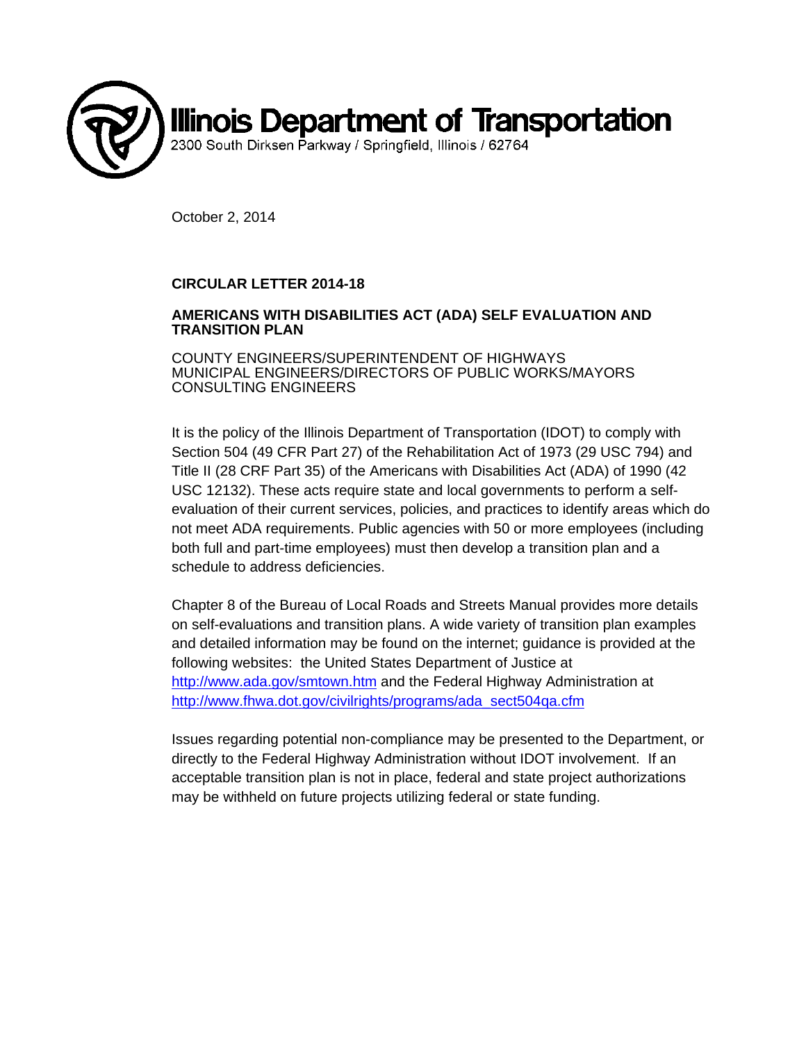

October 2, 2014

## **CIRCULAR LETTER 2014-18**

## **AMERICANS WITH DISABILITIES ACT (ADA) SELF EVALUATION AND TRANSITION PLAN**

COUNTY ENGINEERS/SUPERINTENDENT OF HIGHWAYS MUNICIPAL ENGINEERS/DIRECTORS OF PUBLIC WORKS/MAYORS CONSULTING ENGINEERS

It is the policy of the Illinois Department of Transportation (IDOT) to comply with Section 504 (49 CFR Part 27) of the Rehabilitation Act of 1973 (29 USC 794) and Title II (28 CRF Part 35) of the Americans with Disabilities Act (ADA) of 1990 (42 USC 12132). These acts require state and local governments to perform a selfevaluation of their current services, policies, and practices to identify areas which do not meet ADA requirements. Public agencies with 50 or more employees (including both full and part-time employees) must then develop a transition plan and a schedule to address deficiencies.

Chapter 8 of the Bureau of Local Roads and Streets Manual provides more details on self-evaluations and transition plans. A wide variety of transition plan examples and detailed information may be found on the internet; guidance is provided at the following websites: the United States Department of Justice at http://www.ada.gov/smtown.htm and the Federal Highway Administration at http://www.fhwa.dot.gov/civilrights/programs/ada\_sect504qa.cfm

Issues regarding potential non-compliance may be presented to the Department, or directly to the Federal Highway Administration without IDOT involvement. If an acceptable transition plan is not in place, federal and state project authorizations may be withheld on future projects utilizing federal or state funding.